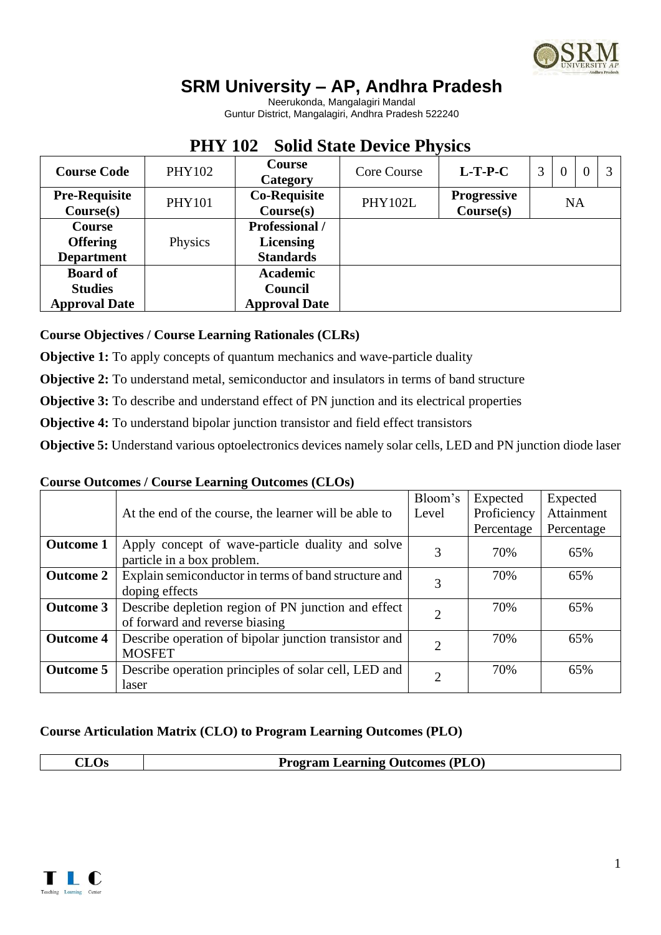

# **SRM University – AP, Andhra Pradesh**

Neerukonda, Mangalagiri Mandal Guntur District, Mangalagiri, Andhra Pradesh 522240

## **PHY 102 Solid State Device Physics**

| <b>Course Code</b>                                        | <b>PHY102</b> | Course<br>Category                                            | Core Course    | $L-T-P-C$                       | 3         | $\theta$ | $\Omega$ |  |  |
|-----------------------------------------------------------|---------------|---------------------------------------------------------------|----------------|---------------------------------|-----------|----------|----------|--|--|
| <b>Pre-Requisite</b><br>Course(s)                         | <b>PHY101</b> | <b>Co-Requisite</b><br>Course(s)                              | <b>PHY102L</b> | <b>Progressive</b><br>Course(s) | <b>NA</b> |          |          |  |  |
| <b>Course</b><br><b>Offering</b><br><b>Department</b>     | Physics       | <b>Professional</b> /<br><b>Licensing</b><br><b>Standards</b> |                |                                 |           |          |          |  |  |
| <b>Board of</b><br><b>Studies</b><br><b>Approval Date</b> |               | <b>Academic</b><br><b>Council</b><br><b>Approval Date</b>     |                |                                 |           |          |          |  |  |

**Course Objectives / Course Learning Rationales (CLRs)**

**Objective 1:** To apply concepts of quantum mechanics and wave-particle duality

**Objective 2:** To understand metal, semiconductor and insulators in terms of band structure

**Objective 3:** To describe and understand effect of PN junction and its electrical properties

**Objective 4:** To understand bipolar junction transistor and field effect transistors

**Objective 5:** Understand various optoelectronics devices namely solar cells, LED and PN junction diode laser

### **Course Outcomes / Course Learning Outcomes (CLOs)**

|                  |                                                                                       | Bloom's                     | Expected    | Expected   |
|------------------|---------------------------------------------------------------------------------------|-----------------------------|-------------|------------|
|                  | At the end of the course, the learner will be able to                                 | Level                       | Proficiency | Attainment |
|                  |                                                                                       |                             | Percentage  | Percentage |
| <b>Outcome 1</b> | Apply concept of wave-particle duality and solve<br>particle in a box problem.        | 3                           | 70%         | 65%        |
| <b>Outcome 2</b> | Explain semiconductor in terms of band structure and<br>doping effects                |                             | 70%         | 65%        |
| <b>Outcome 3</b> | Describe depletion region of PN junction and effect<br>of forward and reverse biasing | 2                           | 70%         | 65%        |
| <b>Outcome 4</b> | Describe operation of bipolar junction transistor and<br><b>MOSFET</b>                | $\mathcal{D}_{\mathcal{L}}$ | 70%         | 65%        |
| <b>Outcome 5</b> | Describe operation principles of solar cell, LED and<br>laser                         | $\mathfrak{D}$              | 70%         | 65%        |

### **Course Articulation Matrix (CLO) to Program Learning Outcomes (PLO)**

|--|

**Program Learning Outcomes (PLO)** 

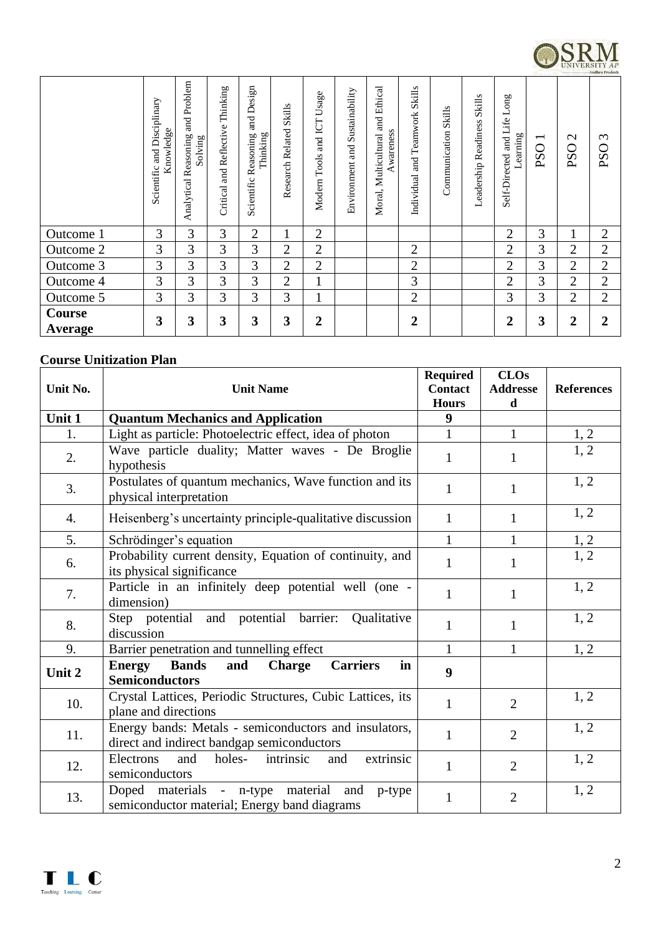

|                          | Disciplinary<br>Knowledge<br>and<br>Scientific | and Problem<br>Reasoning<br>Solving<br>Analytical | Thinking<br>Reflective<br>ម<br>ក្ន<br>Critical | Design<br>$\overline{a}$<br>Thinking<br>Reasoning<br>Scientific | Research Related Skills | Usage<br>Modern Tools and ICT | Sustainability<br>Environment and | Ethical<br>ម្ព<br>Awareness<br>Multicultural<br>Moral, | <b>Skills</b><br>and Teamwork<br>Individual | <b>Skills</b><br>Communication | <b>Skills</b><br>Readiness<br>Leadership | Long<br>Self-Directed and Life<br>Learning | $\overline{\phantom{0}}$<br><b>PSO</b> | $\sim$<br>0<br>PS | $\infty$<br>$\circ$<br>PS |
|--------------------------|------------------------------------------------|---------------------------------------------------|------------------------------------------------|-----------------------------------------------------------------|-------------------------|-------------------------------|-----------------------------------|--------------------------------------------------------|---------------------------------------------|--------------------------------|------------------------------------------|--------------------------------------------|----------------------------------------|-------------------|---------------------------|
| Outcome 1                | 3                                              | 3                                                 | 3                                              | $\overline{2}$                                                  | 1                       | $\overline{2}$                |                                   |                                                        |                                             |                                |                                          | $\overline{2}$                             | 3                                      | 1                 | $\overline{2}$            |
| Outcome 2                | 3                                              | 3                                                 | 3                                              | 3                                                               | $\overline{2}$          | $\overline{2}$                |                                   |                                                        | $\overline{2}$                              |                                |                                          | $\overline{2}$                             | 3                                      | $\overline{2}$    | $\overline{2}$            |
| Outcome 3                | 3                                              | 3                                                 | 3                                              | 3                                                               | $\overline{2}$          | $\overline{2}$                |                                   |                                                        | $\overline{2}$                              |                                |                                          | $\overline{2}$                             | 3                                      | $\overline{2}$    | $\overline{2}$            |
| Outcome 4                | 3                                              | 3                                                 | 3                                              | 3                                                               | 2                       |                               |                                   |                                                        | 3                                           |                                |                                          | $\overline{2}$                             | 3                                      | 2                 | $\overline{2}$            |
| Outcome 5                | 3                                              | 3                                                 | 3                                              | 3                                                               | 3                       |                               |                                   |                                                        | $\overline{2}$                              |                                |                                          | 3                                          | 3                                      | 2                 | $\overline{2}$            |
| <b>Course</b><br>Average | 3                                              | 3                                                 | 3                                              | 3                                                               | 3                       | 2                             |                                   |                                                        | $\overline{2}$                              |                                |                                          | $\overline{2}$                             | 3                                      | 2                 | 2                         |

### **Course Unitization Plan**

| Unit No. | <b>Unit Name</b>                                                                                        | <b>Required</b><br><b>Contact</b> | CLOs<br><b>Addresse</b> | <b>References</b> |
|----------|---------------------------------------------------------------------------------------------------------|-----------------------------------|-------------------------|-------------------|
| Unit 1   | <b>Quantum Mechanics and Application</b>                                                                | <b>Hours</b><br>9                 | d                       |                   |
| 1.       |                                                                                                         | $\mathbf{1}$                      | $\mathbf{1}$            |                   |
|          | Light as particle: Photoelectric effect, idea of photon                                                 |                                   |                         | 1, 2              |
| 2.       | Wave particle duality; Matter waves - De Broglie<br>hypothesis                                          | $\mathbf{1}$                      | 1                       | 1, 2              |
| 3.       | Postulates of quantum mechanics, Wave function and its<br>physical interpretation                       | $\mathbf{1}$                      | $\mathbf{1}$            | 1, 2              |
| 4.       | Heisenberg's uncertainty principle-qualitative discussion                                               | $\mathbf{1}$                      | 1                       | 1, 2              |
| 5.       | Schrödinger's equation                                                                                  | $\mathbf{1}$                      | $\mathbf{1}$            | 1, 2              |
| 6.       | Probability current density, Equation of continuity, and<br>its physical significance                   | $\mathbf{1}$                      | $\mathbf{1}$            | $\overline{1,2}$  |
| 7.       | Particle in an infinitely deep potential well (one -<br>dimension)                                      | $\mathbf{1}$                      | $\mathbf{1}$            | 1, 2              |
| 8.       | Step potential and potential barrier:<br>Qualitative<br>discussion                                      | $\mathbf{1}$                      | $\mathbf{1}$            | 1, 2              |
| 9.       | Barrier penetration and tunnelling effect                                                               | $\mathbf{1}$                      | 1                       | 1, 2              |
| Unit 2   | <b>Bands</b><br><b>Energy</b><br>and<br><b>Carriers</b><br>in<br><b>Charge</b><br><b>Semiconductors</b> | $\boldsymbol{9}$                  |                         |                   |
| 10.      | Crystal Lattices, Periodic Structures, Cubic Lattices, its<br>plane and directions                      | 1                                 | $\overline{2}$          | 1, 2              |
| 11.      | Energy bands: Metals - semiconductors and insulators,<br>direct and indirect bandgap semiconductors     | $\mathbf{1}$                      | $\overline{2}$          | 1, 2              |
| 12.      | intrinsic<br>extrinsic<br>holes-<br>Electrons<br>and<br>and<br>semiconductors                           | $\mathbf{1}$                      | $\overline{2}$          | 1, 2              |
| 13.      | Doped materials<br>- n-type material<br>and<br>p-type<br>semiconductor material; Energy band diagrams   | $\mathbf{1}$                      | $\overline{2}$          | 1, 2              |

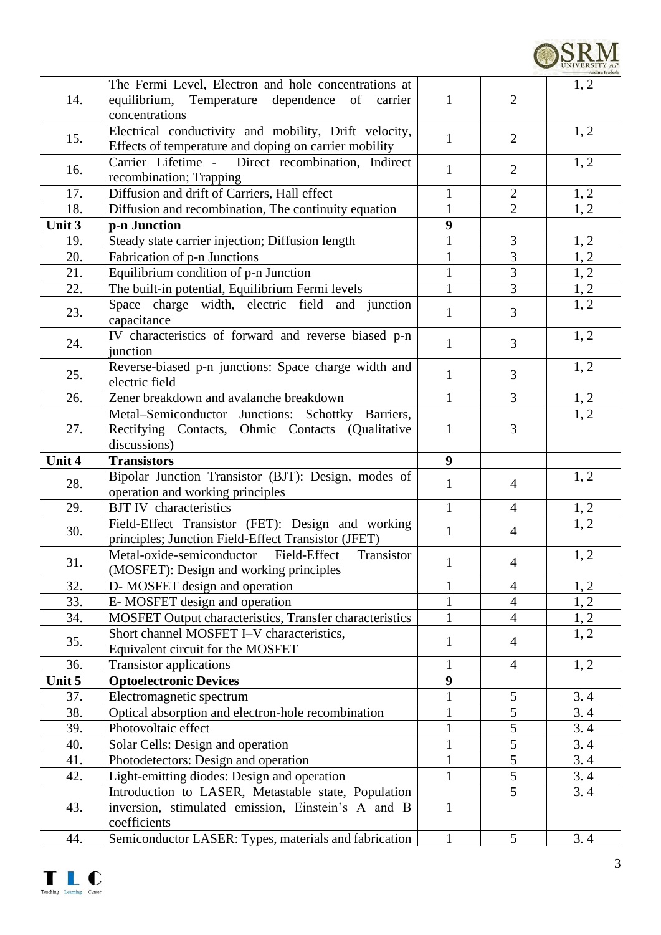| 14.    | The Fermi Level, Electron and hole concentrations at<br>equilibrium, Temperature dependence of<br>carrier<br>concentrations | $\mathbf{1}$     | $\overline{2}$ | 1, 2 |
|--------|-----------------------------------------------------------------------------------------------------------------------------|------------------|----------------|------|
| 15.    | Electrical conductivity and mobility, Drift velocity,<br>Effects of temperature and doping on carrier mobility              | $\mathbf{1}$     | $\overline{2}$ | 1, 2 |
| 16.    | Carrier Lifetime - Direct recombination, Indirect<br>recombination; Trapping                                                | $\mathbf{1}$     | $\overline{2}$ | 1, 2 |
| 17.    | Diffusion and drift of Carriers, Hall effect                                                                                | $\mathbf{1}$     | $\overline{2}$ | 1, 2 |
| 18.    | Diffusion and recombination, The continuity equation                                                                        | $\mathbf{1}$     | $\overline{2}$ | 1, 2 |
| Unit 3 | p-n Junction                                                                                                                | 9                |                |      |
| 19.    | Steady state carrier injection; Diffusion length                                                                            | $\mathbf{1}$     | 3              | 1, 2 |
| 20.    | Fabrication of p-n Junctions                                                                                                | $\mathbf{1}$     | $\overline{3}$ | 1, 2 |
| 21.    | Equilibrium condition of p-n Junction                                                                                       | $\mathbf{1}$     | 3              | 1, 2 |
| 22.    | The built-in potential, Equilibrium Fermi levels                                                                            | 1                | 3              | 1, 2 |
| 23.    | Space charge width, electric field and junction<br>capacitance                                                              | 1                | 3              | 1, 2 |
| 24.    | IV characteristics of forward and reverse biased p-n<br>junction                                                            | $\mathbf{1}$     | $\overline{3}$ | 1, 2 |
| 25.    | Reverse-biased p-n junctions: Space charge width and<br>electric field                                                      | $\mathbf{1}$     | 3              | 1, 2 |
| 26.    | Zener breakdown and avalanche breakdown                                                                                     | $\mathbf{1}$     | $\overline{3}$ | 1, 2 |
| 27.    | Metal-Semiconductor Junctions: Schottky Barriers,<br>Rectifying Contacts, Ohmic Contacts (Qualitative<br>discussions)       | 1                | 3              | 1, 2 |
| Unit 4 | <b>Transistors</b>                                                                                                          | $\boldsymbol{9}$ |                |      |
| 28.    | Bipolar Junction Transistor (BJT): Design, modes of<br>operation and working principles                                     | 1                | 4              | 1, 2 |
| 29.    | <b>BJT IV</b> characteristics                                                                                               | $\mathbf{1}$     | $\overline{4}$ | 1, 2 |
| 30.    | Field-Effect Transistor (FET): Design and working<br>principles; Junction Field-Effect Transistor (JFET)                    | $\mathbf{1}$     | $\overline{4}$ | 1, 2 |
| 31.    | Metal-oxide-semiconductor<br>Field-Effect<br>Transistor<br>(MOSFET): Design and working principles                          | 1                | $\overline{4}$ | 1, 2 |
| 32.    | D-MOSFET design and operation                                                                                               | $\mathbf{1}$     | $\overline{4}$ | 1, 2 |
| 33.    | E-MOSFET design and operation                                                                                               | $\mathbf{1}$     | $\overline{4}$ | 1, 2 |
| 34.    | MOSFET Output characteristics, Transfer characteristics                                                                     | $\mathbf{1}$     | $\overline{4}$ | 1, 2 |
| 35.    | Short channel MOSFET I-V characteristics,<br>Equivalent circuit for the MOSFET                                              | $\mathbf{1}$     | $\overline{4}$ | 1, 2 |
| 36.    | <b>Transistor applications</b>                                                                                              | $\mathbf{1}$     | $\overline{4}$ | 1, 2 |
| Unit 5 | <b>Optoelectronic Devices</b>                                                                                               | 9                |                |      |
| 37.    | Electromagnetic spectrum                                                                                                    | $\mathbf{1}$     | 5              | 3.4  |
| 38.    | Optical absorption and electron-hole recombination                                                                          | $\mathbf{1}$     | $\overline{5}$ | 3.4  |
| 39.    | Photovoltaic effect                                                                                                         | $\mathbf{1}$     | $\overline{5}$ | 3.4  |
| 40.    | Solar Cells: Design and operation                                                                                           | $\mathbf{1}$     | 5              | 3.4  |
| 41.    | Photodetectors: Design and operation                                                                                        | $\mathbf{1}$     | $\overline{5}$ | 3.4  |
| 42.    | Light-emitting diodes: Design and operation                                                                                 | $\mathbf{1}$     | $\overline{5}$ | 3.4  |
| 43.    | Introduction to LASER, Metastable state, Population<br>inversion, stimulated emission, Einstein's A and B<br>coefficients   | $\mathbf{1}$     | 5              | 3.4  |
| 44.    | Semiconductor LASER: Types, materials and fabrication                                                                       | 1                | 5              | 3.4  |